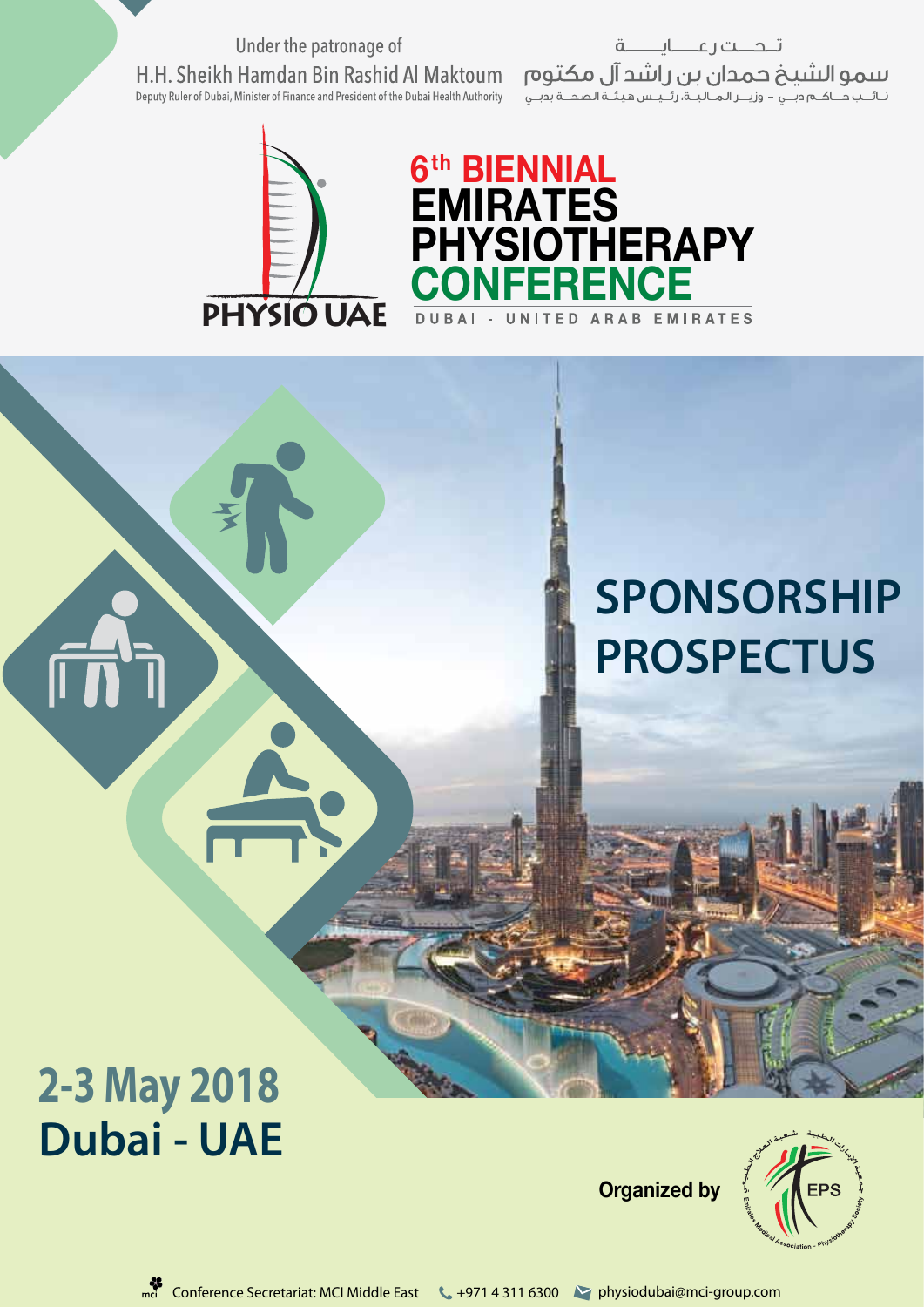Under the patronage of H.H. Sheikh Hamdan Bin Rashid Al Maktoum Deputy Ruler of Dubai, Minister of Finance and President of the Dubai Health Authority

تلحلت رعننايسنة لننمو النثنيخ حمدان بن راشد آل مكتوم<br>نشب صكموب - وزير المالية، رئيس هيئة المصة بوبي



## **6th BIENNIAL EMIRATES PHYSIOTHERAPY CONFERENCE**

# **SPONSORSHIP PROSPECTUS**

# **2-3 May 2018 Dubai - UAE**

**Organized by**

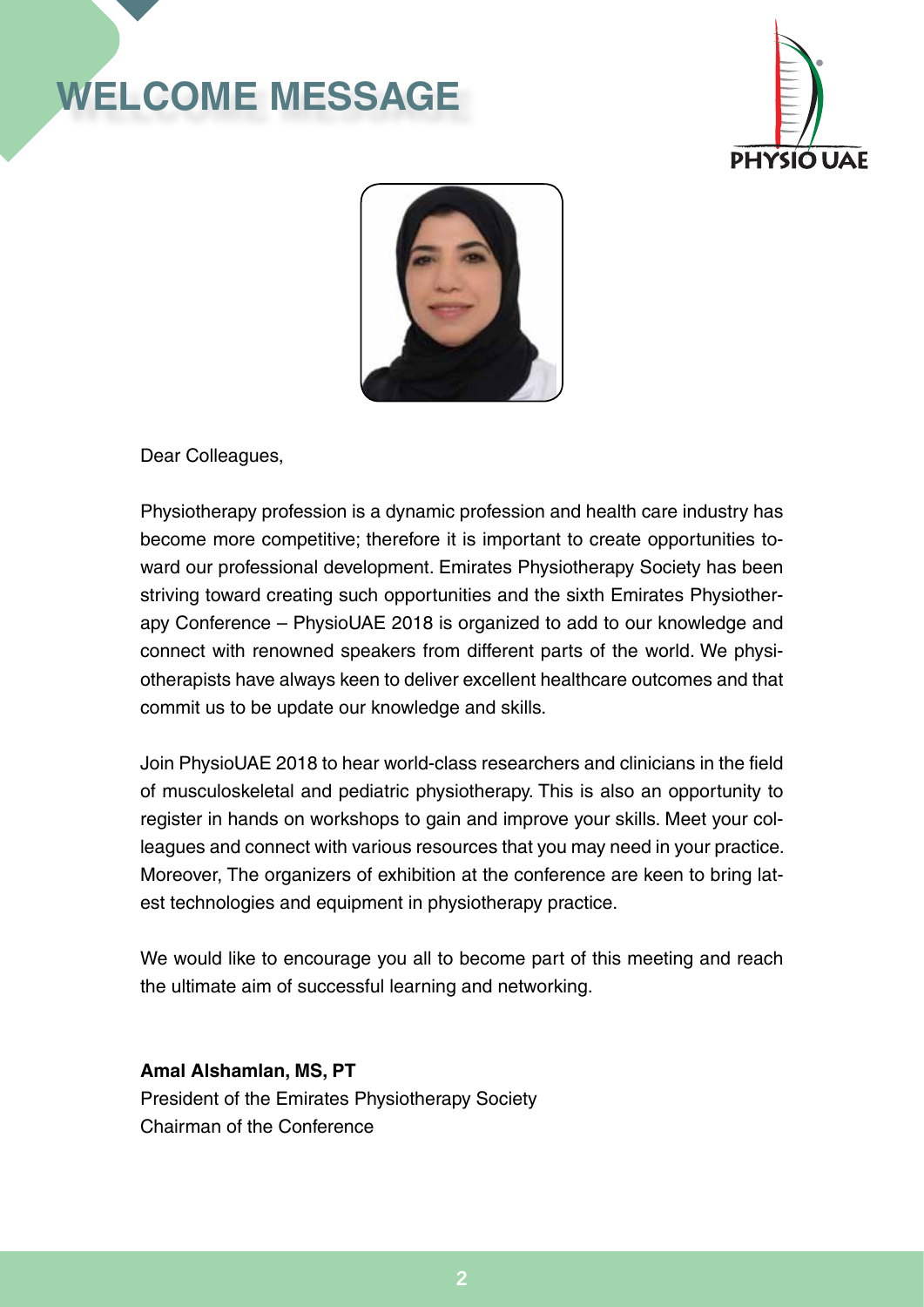# **welcome message**





Dear Colleagues,

Physiotherapy profession is a dynamic profession and health care industry has become more competitive; therefore it is important to create opportunities toward our professional development. Emirates Physiotherapy Society has been striving toward creating such opportunities and the sixth Emirates Physiotherapy Conference – PhysioUAE 2018 is organized to add to our knowledge and connect with renowned speakers from different parts of the world. We physiotherapists have always keen to deliver excellent healthcare outcomes and that commit us to be update our knowledge and skills.

Join PhysioUAE 2018 to hear world-class researchers and clinicians in the field of musculoskeletal and pediatric physiotherapy. This is also an opportunity to register in hands on workshops to gain and improve your skills. Meet your colleagues and connect with various resources that you may need in your practice. Moreover, The organizers of exhibition at the conference are keen to bring latest technologies and equipment in physiotherapy practice.

We would like to encourage you all to become part of this meeting and reach the ultimate aim of successful learning and networking.

**Amal Alshamlan, MS, PT** President of the Emirates Physiotherapy Society Chairman of the Conference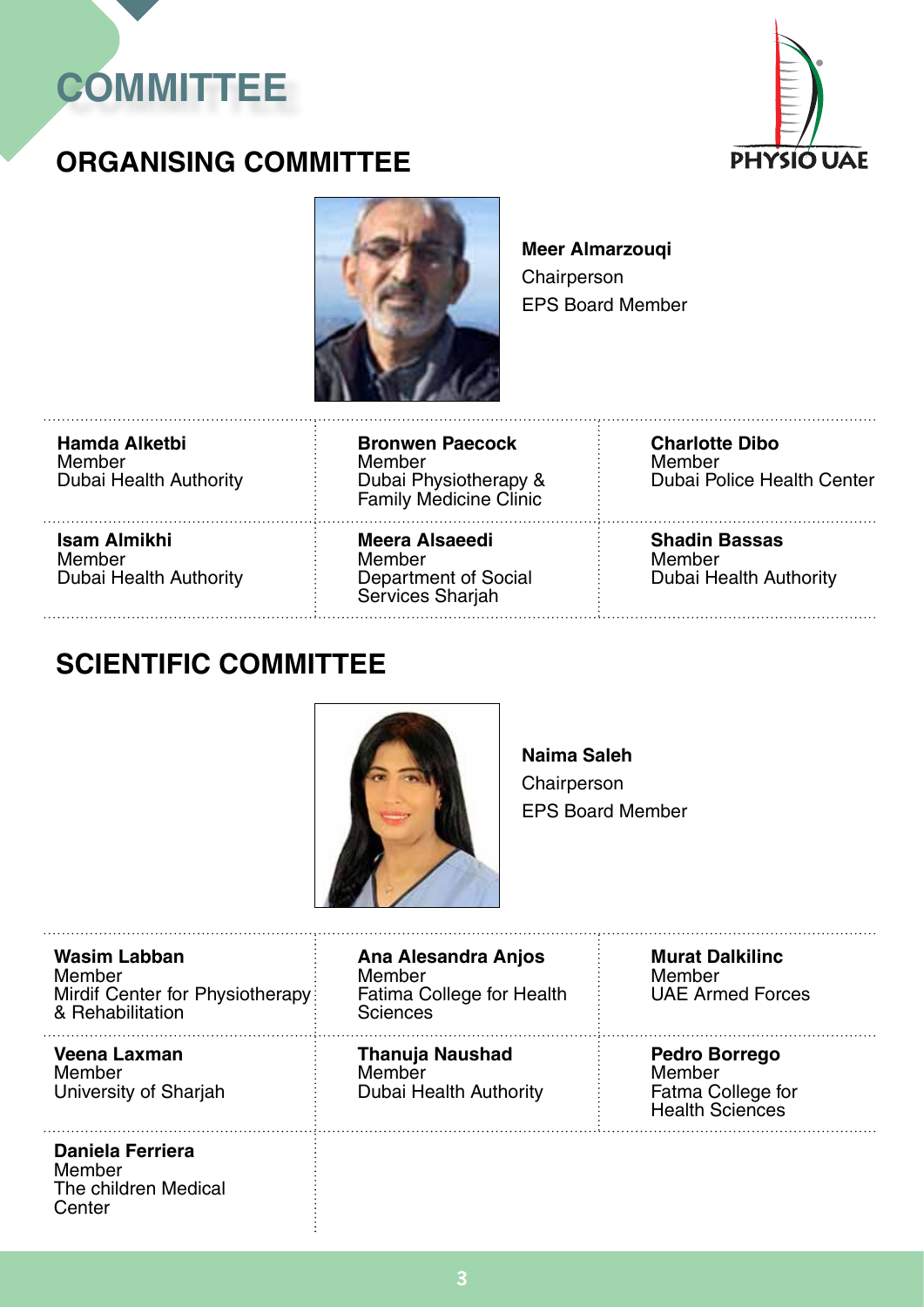



### **ORGANISING COMMITTEE**



**Meer Almarzouqi Chairperson** EPS Board Member

**Hamda Alketbi** Member Dubai Health Authority

**Isam Almikhi** Member Dubai Health Authority

**Bronwen Paecock** Member Dubai Physiotherapy & Family Medicine Clinic 

**Meera Alsaeedi** Member Department of Social Services Sharjah

**Charlotte Dibo** Member Dubai Police Health Center

**Shadin Bassas** Member Dubai Health Authority

#### **SCIENTIFIC COMMITTEE**



**Naima Saleh** Chairperson EPS Board Member

**Wasim Labban** Member Mirdif Center for Physiotherapy: & Rehabilitation

#### **Veena Laxman** Member

University of Sharjah

#### **Daniela Ferriera** Member

The children Medical **Center** 

**Ana Alesandra Anjos** Member Fatima College for Health Sciences 

**Thanuja Naushad** Member Dubai Health Authority

**Murat Dalkilinc** Member UAE Armed Forces

**Pedro Borrego** Member Fatma College for Health Sciences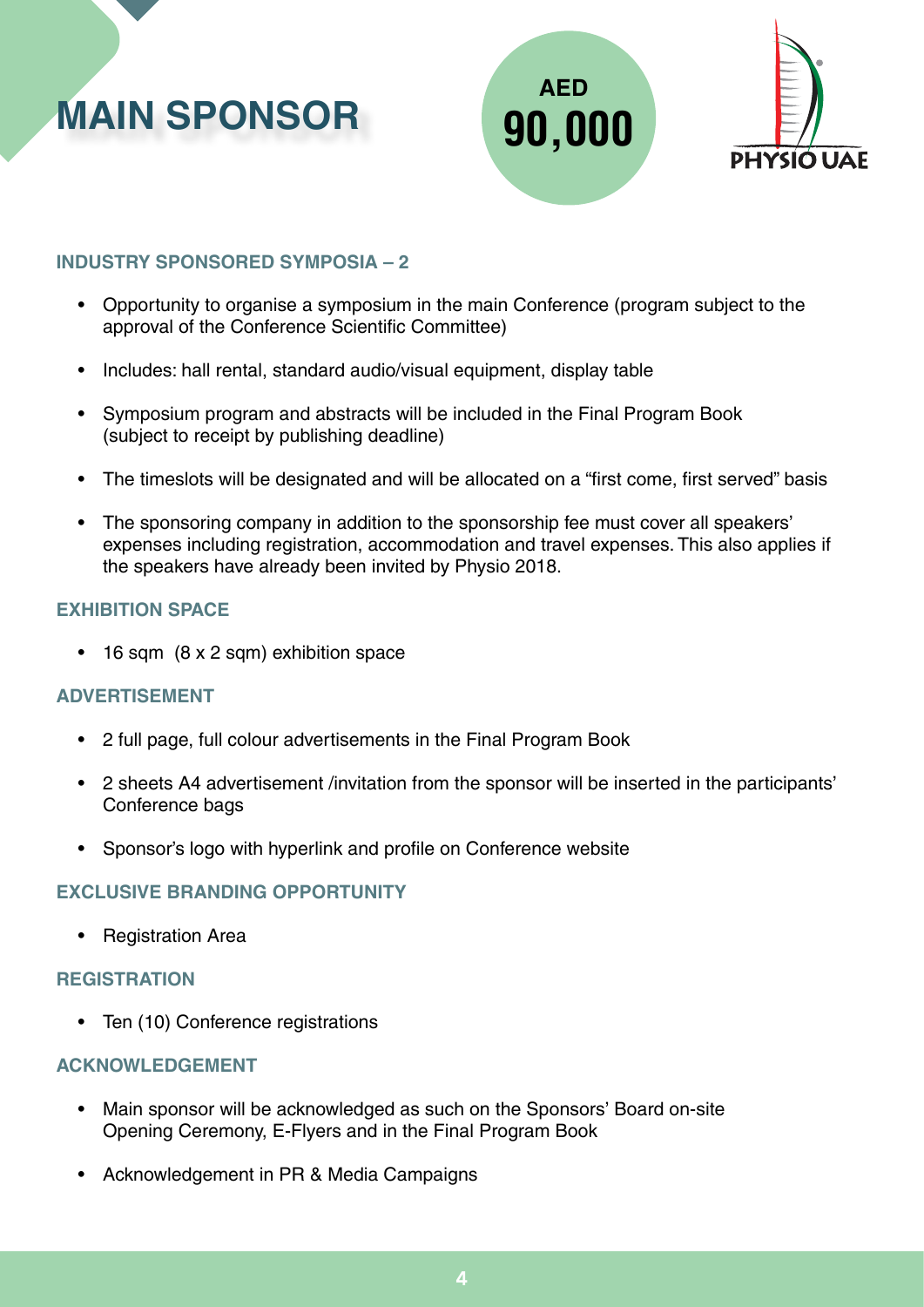





#### **INDUSTRY SPONSORED SYMPOSIA – 2**

- Opportunity to organise a symposium in the main Conference (program subject to the approval of the Conference Scientific Committee)
- Includes: hall rental, standard audio/visual equipment, display table
- Symposium program and abstracts will be included in the Final Program Book (subject to receipt by publishing deadline)
- The timeslots will be designated and will be allocated on a "first come, first served" basis
- The sponsoring company in addition to the sponsorship fee must cover all speakers' expenses including registration, accommodation and travel expenses. This also applies if the speakers have already been invited by Physio 2018.

#### **EXHIBITION SPACE**

• 16 sqm (8 x 2 sqm) exhibition space

#### **ADVERTISEMENT**

- 2 full page, full colour advertisements in the Final Program Book
- 2 sheets A4 advertisement /invitation from the sponsor will be inserted in the participants' Conference bags
- Sponsor's logo with hyperlink and profile on Conference website

#### **EXCLUSIVE BRANDING OPPORTUNITY**

• Registration Area

#### **REGISTRATION**

• Ten (10) Conference registrations

#### **ACKNOWLEDGEMENT**

- Main sponsor will be acknowledged as such on the Sponsors' Board on-site Opening Ceremony, E-Flyers and in the Final Program Book
- Acknowledgement in PR & Media Campaigns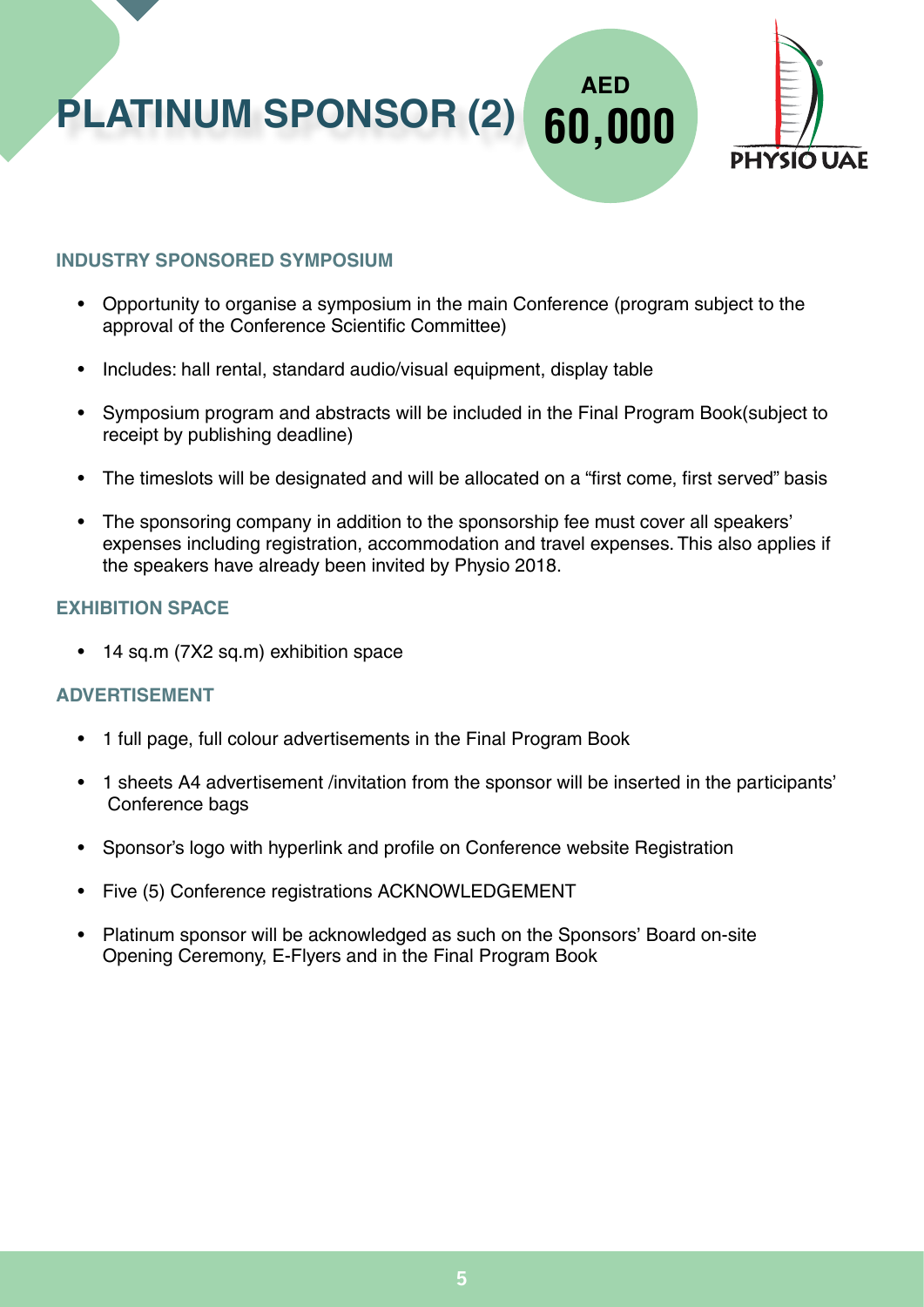**PLATINUM SPONSOR (2) 60,000**



**AED**

#### **INDUSTRY SPONSORED SYMPOSIUM**

- Opportunity to organise a symposium in the main Conference (program subject to the approval of the Conference Scientific Committee)
- Includes: hall rental, standard audio/visual equipment, display table
- Symposium program and abstracts will be included in the Final Program Book(subject to receipt by publishing deadline)
- The timeslots will be designated and will be allocated on a "first come, first served" basis
- The sponsoring company in addition to the sponsorship fee must cover all speakers' expenses including registration, accommodation and travel expenses. This also applies if the speakers have already been invited by Physio 2018.

#### **EXHIBITION SPACE**

• 14 sq.m (7X2 sq.m) exhibition space

#### **ADVERTISEMENT**

- 1 full page, full colour advertisements in the Final Program Book
- 1 sheets A4 advertisement /invitation from the sponsor will be inserted in the participants' Conference bags
- Sponsor's logo with hyperlink and profile on Conference website Registration
- Five (5) Conference registrations ACKNOWLEDGEMENT
- Platinum sponsor will be acknowledged as such on the Sponsors' Board on-site Opening Ceremony, E-Flyers and in the Final Program Book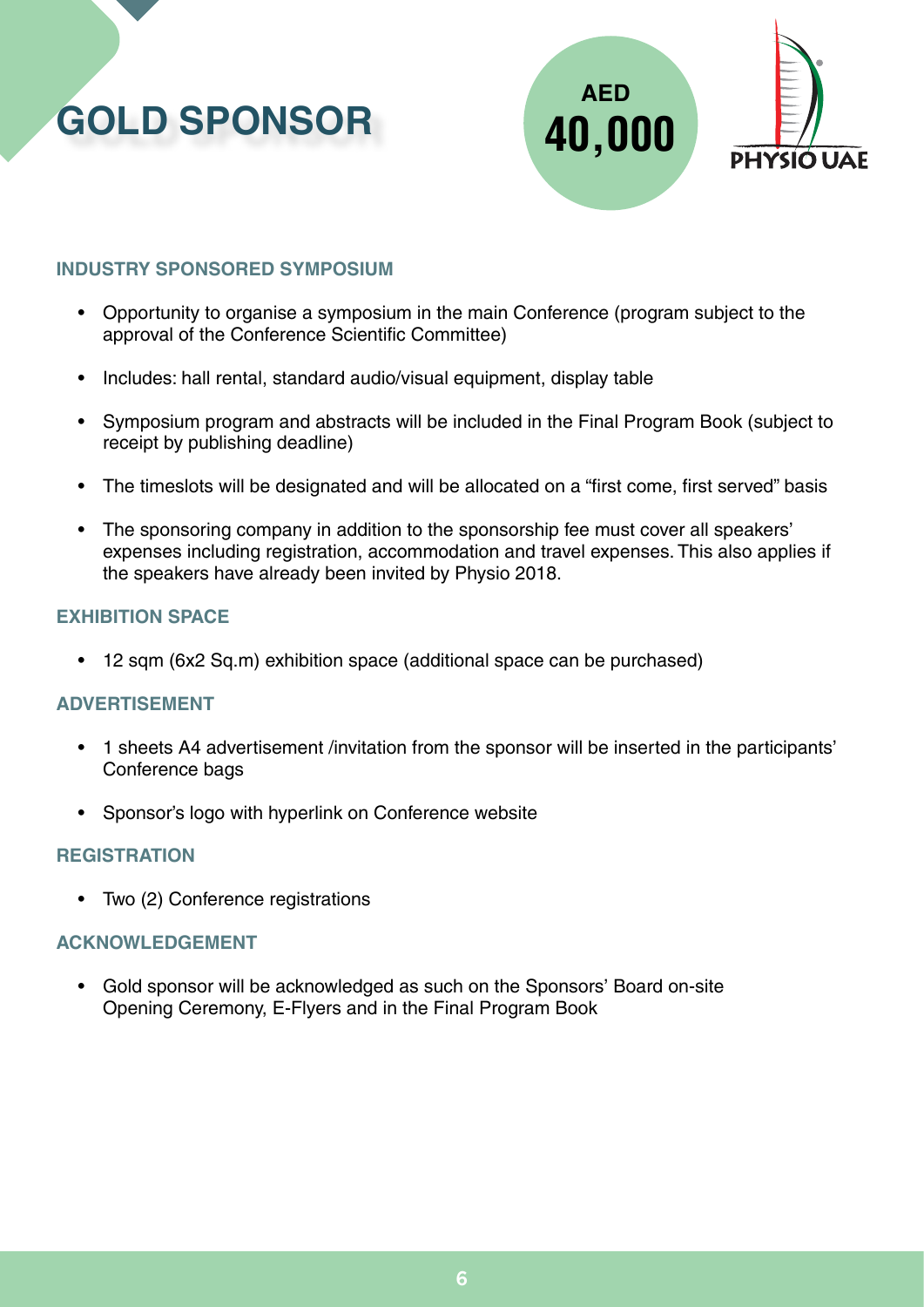





#### **INDUSTRY SPONSORED SYMPOSIUM**

- Opportunity to organise a symposium in the main Conference (program subject to the approval of the Conference Scientific Committee)
- Includes: hall rental, standard audio/visual equipment, display table
- Symposium program and abstracts will be included in the Final Program Book (subject to receipt by publishing deadline)
- The timeslots will be designated and will be allocated on a "first come, first served" basis
- The sponsoring company in addition to the sponsorship fee must cover all speakers' expenses including registration, accommodation and travel expenses. This also applies if the speakers have already been invited by Physio 2018.

#### **EXHIBITION SPACE**

• 12 sqm (6x2 Sq.m) exhibition space (additional space can be purchased)

#### **ADVERTISEMENT**

- 1 sheets A4 advertisement /invitation from the sponsor will be inserted in the participants' Conference bags
- Sponsor's logo with hyperlink on Conference website

#### **REGISTRATION**

• Two (2) Conference registrations

#### **ACKNOWLEDGEMENT**

• Gold sponsor will be acknowledged as such on the Sponsors' Board on-site Opening Ceremony, E-Flyers and in the Final Program Book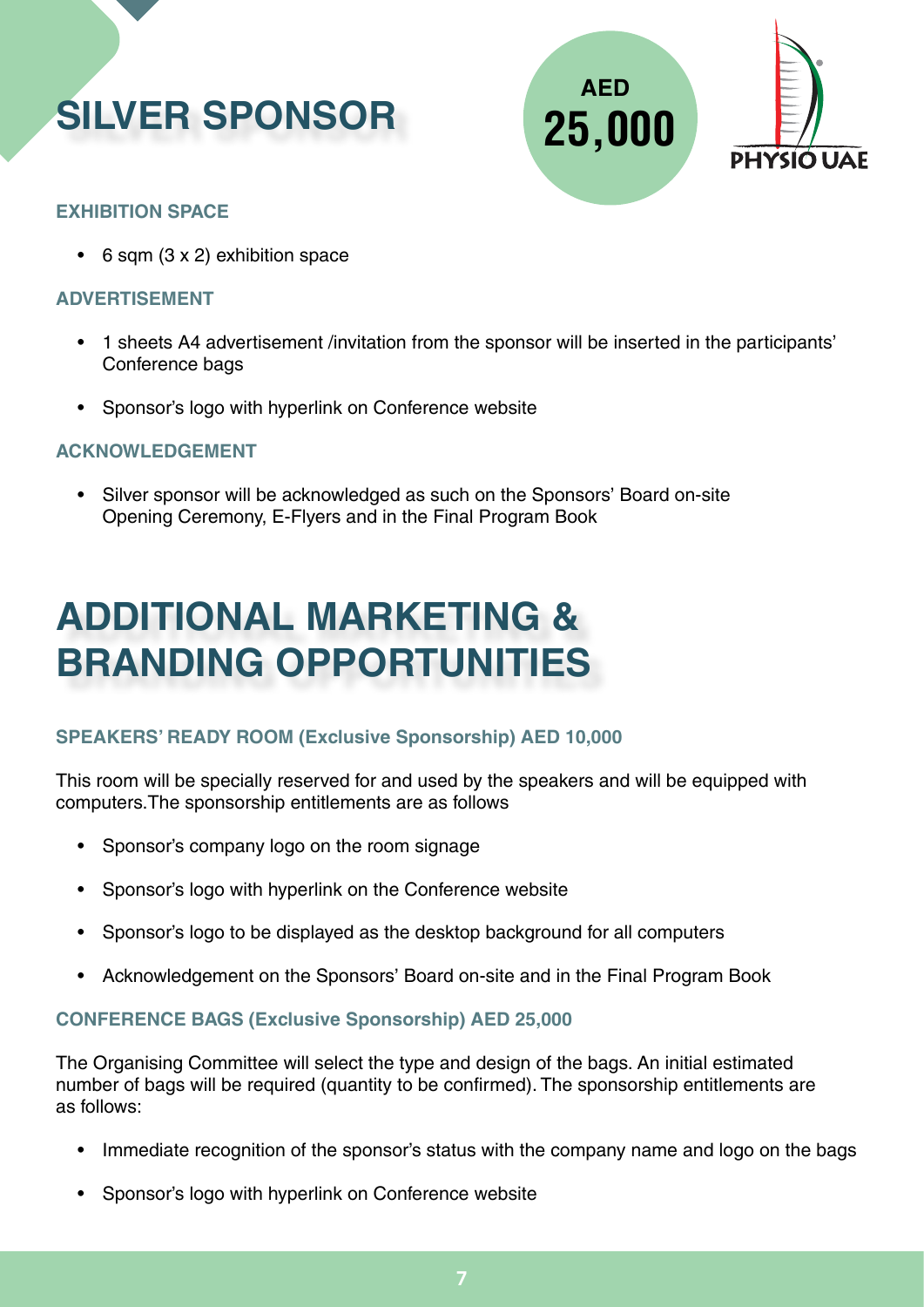





#### **EXHIBITION SPACE**

 $\cdot$  6 sqm (3 x 2) exhibition space

#### **ADVERTISEMENT**

- 1 sheets A4 advertisement /invitation from the sponsor will be inserted in the participants' Conference bags
- Sponsor's logo with hyperlink on Conference website

#### **ACKNOWLEDGEMENT**

• Silver sponsor will be acknowledged as such on the Sponsors' Board on-site Opening Ceremony, E-Flyers and in the Final Program Book

## **ADDITIONAL MARKETING & BRANDING OPPORTUNITIES**

#### **SPEAKERS' READY ROOM (Exclusive Sponsorship) AED 10,000**

This room will be specially reserved for and used by the speakers and will be equipped with computers.The sponsorship entitlements are as follows

- Sponsor's company logo on the room signage
- Sponsor's logo with hyperlink on the Conference website
- Sponsor's logo to be displayed as the desktop background for all computers
- Acknowledgement on the Sponsors' Board on-site and in the Final Program Book

#### **CONFERENCE BAGS (Exclusive Sponsorship) AED 25,000**

The Organising Committee will select the type and design of the bags. An initial estimated number of bags will be required (quantity to be confirmed). The sponsorship entitlements are as follows:

- Immediate recognition of the sponsor's status with the company name and logo on the bags
- Sponsor's logo with hyperlink on Conference website